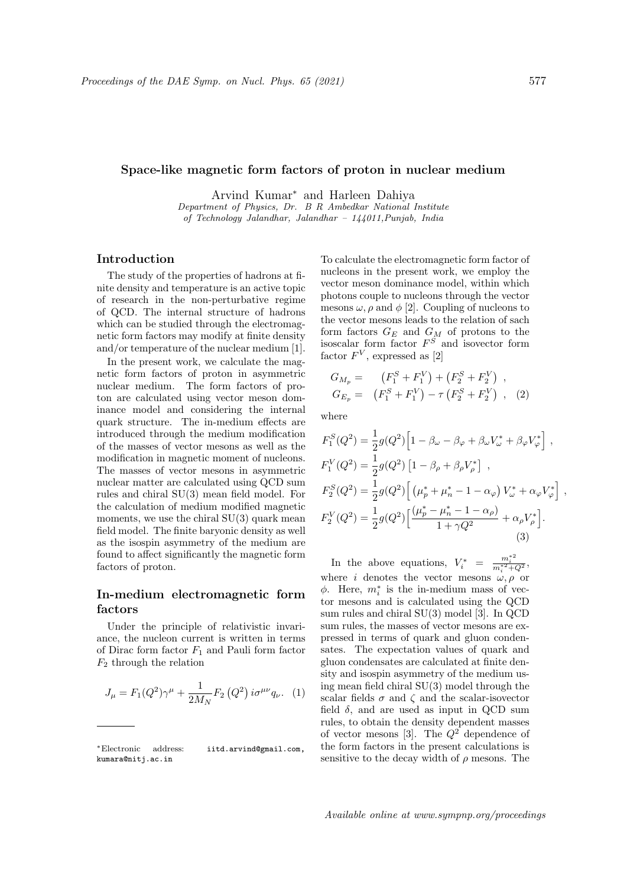### Space-like magnetic form factors of proton in nuclear medium

Arvind Kumar<sup>∗</sup> and Harleen Dahiya

Department of Physics, Dr. B R Ambedkar National Institute of Technology Jalandhar, Jalandhar – 144011,Punjab, India

## Introduction

The study of the properties of hadrons at finite density and temperature is an active topic of research in the non-perturbative regime of QCD. The internal structure of hadrons which can be studied through the electromagnetic form factors may modify at finite density and/or temperature of the nuclear medium [1].

In the present work, we calculate the magnetic form factors of proton in asymmetric nuclear medium. The form factors of proton are calculated using vector meson dominance model and considering the internal quark structure. The in-medium effects are introduced through the medium modification of the masses of vector mesons as well as the modification in magnetic moment of nucleons. The masses of vector mesons in asymmetric nuclear matter are calculated using QCD sum rules and chiral SU(3) mean field model. For the calculation of medium modified magnetic moments, we use the chiral  $SU(3)$  quark mean field model. The finite baryonic density as well as the isospin asymmetry of the medium are found to affect significantly the magnetic form factors of proton.

# In-medium electromagnetic form factors

Under the principle of relativistic invariance, the nucleon current is written in terms of Dirac form factor  $F_1$  and Pauli form factor  $F_2$  through the relation

$$
J_{\mu} = F_1(Q^2)\gamma^{\mu} + \frac{1}{2M_N}F_2(Q^2) i\sigma^{\mu\nu}q_{\nu}.
$$
 (1)

To calculate the electromagnetic form factor of nucleons in the present work, we employ the vector meson dominance model, within which photons couple to nucleons through the vector mesons  $\omega$ ,  $\rho$  and  $\phi$  [2]. Coupling of nucleons to the vector mesons leads to the relation of sach form factors  $G_E$  and  $G_M$  of protons to the isoscalar form factor  $F^S$  and isovector form factor  $F^V$ , expressed as [2]

$$
G_{M_p} = (F_1^S + F_1^V) + (F_2^S + F_2^V) ,
$$
  
\n
$$
G_{E_p} = (F_1^S + F_1^V) - \tau (F_2^S + F_2^V) ,
$$
 (2)

where

$$
F_1^S(Q^2) = \frac{1}{2}g(Q^2)\left[1 - \beta_\omega - \beta_\varphi + \beta_\omega V_\omega^* + \beta_\varphi V_\varphi^*\right],
$$
  
\n
$$
F_1^V(Q^2) = \frac{1}{2}g(Q^2)\left[1 - \beta_\rho + \beta_\rho V_\rho^*\right],
$$
  
\n
$$
F_2^S(Q^2) = \frac{1}{2}g(Q^2)\left[\left(\mu_p^* + \mu_n^* - 1 - \alpha_\varphi\right)V_\omega^* + \alpha_\varphi V_\varphi^*\right],
$$
  
\n
$$
F_2^V(Q^2) = \frac{1}{2}g(Q^2)\left[\frac{(\mu_p^* - \mu_n^* - 1 - \alpha_\rho)}{1 + \gamma Q^2} + \alpha_\rho V_\rho^*\right].
$$
  
\n(3)

In the above equations,  $V_i^* = \frac{m_i^{*2}}{m_i^{*2} + Q^2}$ , where i denotes the vector mesons  $\omega, \rho$  or  $\phi$ . Here,  $m_i^*$  is the in-medium mass of vector mesons and is calculated using the QCD sum rules and chiral SU(3) model [3]. In QCD sum rules, the masses of vector mesons are expressed in terms of quark and gluon condensates. The expectation values of quark and gluon condensates are calculated at finite density and isospin asymmetry of the medium using mean field chiral SU(3) model through the scalar fields  $\sigma$  and  $\zeta$  and the scalar-isovector field  $\delta$ , and are used as input in QCD sum rules, to obtain the density dependent masses of vector mesons [3]. The  $Q^2$  dependence of the form factors in the present calculations is sensitive to the decay width of  $\rho$  mesons. The

<sup>∗</sup>Electronic address: iitd.arvind@gmail.com, kumara@nitj.ac.in